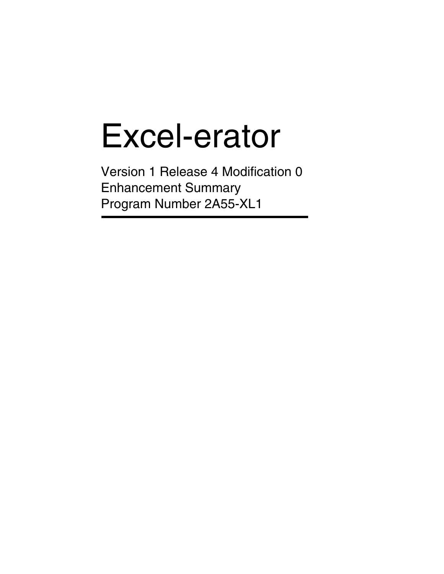# Excel-erator

Version 1 Release 4 Modification 0 Enhancement Summary Program Number 2A55-XL1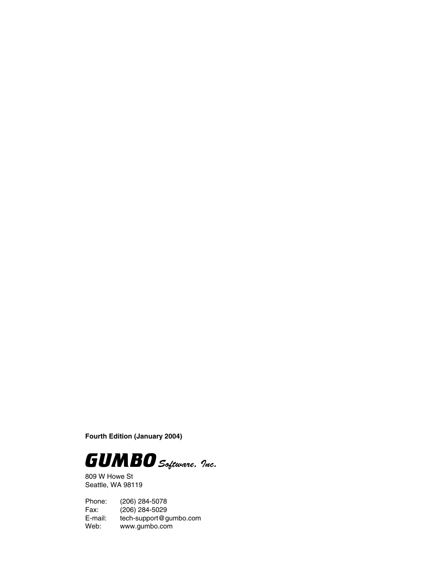**Fourth Edition (January 2004)**



809 W Howe St Seattle, WA 98119

Phone: (206) 284-5078 Fax: (206) 284-5029<br>E-mail: tech-support@g E-mail: tech-support@gumbo.com<br>Web: www.gumbo.com www.gumbo.com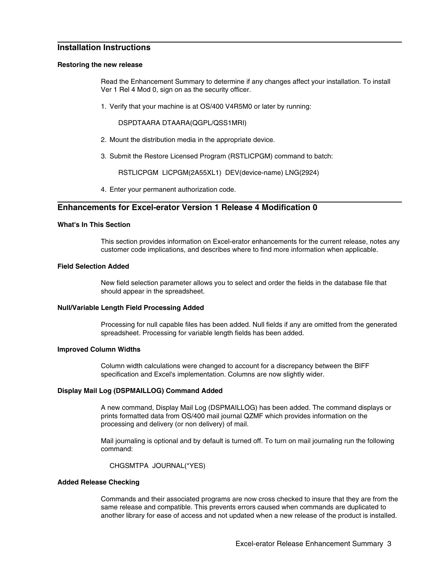# **Installation Instructions**

#### **Restoring the new release**

Read the Enhancement Summary to determine if any changes affect your installation. To install Ver 1 Rel 4 Mod 0, sign on as the security officer.

1. Verify that your machine is at OS/400 V4R5M0 or later by running:

DSPDTAARA DTAARA(QGPL/QSS1MRI)

- 2. Mount the distribution media in the appropriate device.
- 3. Submit the Restore Licensed Program (RSTLICPGM) command to batch:

RSTLICPGM LICPGM(2A55XL1) DEV(device-name) LNG(2924)

4. Enter your permanent authorization code.

# **Enhancements for Excel-erator Version 1 Release 4 Modification 0**

### **What's In This Section**

This section provides information on Excel-erator enhancements for the current release, notes any customer code implications, and describes where to find more information when applicable.

#### **Field Selection Added**

New field selection parameter allows you to select and order the fields in the database file that should appear in the spreadsheet.

#### **Null/Variable Length Field Processing Added**

Processing for null capable files has been added. Null fields if any are omitted from the generated spreadsheet. Processing for variable length fields has been added.

#### **Improved Column Widths**

Column width calculations were changed to account for a discrepancy between the BIFF specification and Excel's implementation. Columns are now slightly wider.

### **Display Mail Log (DSPMAILLOG) Command Added**

A new command, Display Mail Log (DSPMAILLOG) has been added. The command displays or prints formatted data from OS/400 mail journal QZMF which provides information on the processing and delivery (or non delivery) of mail.

Mail journaling is optional and by default is turned off. To turn on mail journaling run the following command:

CHGSMTPA JOURNAL(\*YES)

#### **Added Release Checking**

Commands and their associated programs are now cross checked to insure that they are from the same release and compatible. This prevents errors caused when commands are duplicated to another library for ease of access and not updated when a new release of the product is installed.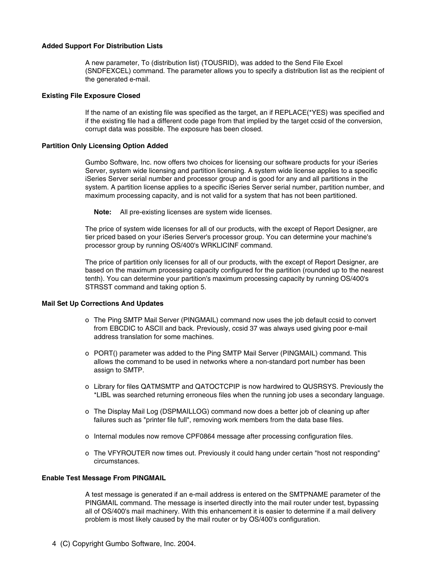#### **Added Support For Distribution Lists**

A new parameter, To (distribution list) (TOUSRID), was added to the Send File Excel (SNDFEXCEL) command. The parameter allows you to specify a distribution list as the recipient of the generated e-mail.

#### **Existing File Exposure Closed**

If the name of an existing file was specified as the target, an if REPLACE(\*YES) was specified and if the existing file had a different code page from that implied by the target ccsid of the conversion, corrupt data was possible. The exposure has been closed.

### **Partition Only Licensing Option Added**

Gumbo Software, Inc. now offers two choices for licensing our software products for your iSeries Server, system wide licensing and partition licensing. A system wide license applies to a specific iSeries Server serial number and processor group and is good for any and all partitions in the system. A partition license applies to a specific iSeries Server serial number, partition number, and maximum processing capacity, and is not valid for a system that has not been partitioned.

**Note:** All pre-existing licenses are system wide licenses.

The price of system wide licenses for all of our products, with the except of Report Designer, are tier priced based on your iSeries Server's processor group. You can determine your machine's processor group by running OS/400's WRKLICINF command.

The price of partition only licenses for all of our products, with the except of Report Designer, are based on the maximum processing capacity configured for the partition (rounded up to the nearest tenth). You can determine your partition's maximum processing capacity by running OS/400's STRSST command and taking option 5.

## **Mail Set Up Corrections And Updates**

- o The Ping SMTP Mail Server (PINGMAIL) command now uses the job default ccsid to convert from EBCDIC to ASCII and back. Previously, ccsid 37 was always used giving poor e-mail address translation for some machines.
- o PORT() parameter was added to the Ping SMTP Mail Server (PINGMAIL) command. This allows the command to be used in networks where a non-standard port number has been assign to SMTP.
- o Library for files QATMSMTP and QATOCTCPIP is now hardwired to QUSRSYS. Previously the \*LIBL was searched returning erroneous files when the running job uses a secondary language.
- o The Display Mail Log (DSPMAILLOG) command now does a better job of cleaning up after failures such as "printer file full", removing work members from the data base files.
- o Internal modules now remove CPF0864 message after processing configuration files.
- o The VFYROUTER now times out. Previously it could hang under certain "host not responding" circumstances.

## **Enable Test Message From PINGMAIL**

A test message is generated if an e-mail address is entered on the SMTPNAME parameter of the PINGMAIL command. The message is inserted directly into the mail router under test, bypassing all of OS/400's mail machinery. With this enhancement it is easier to determine if a mail delivery problem is most likely caused by the mail router or by OS/400's configuration.

4 (C) Copyright Gumbo Software, Inc. 2004.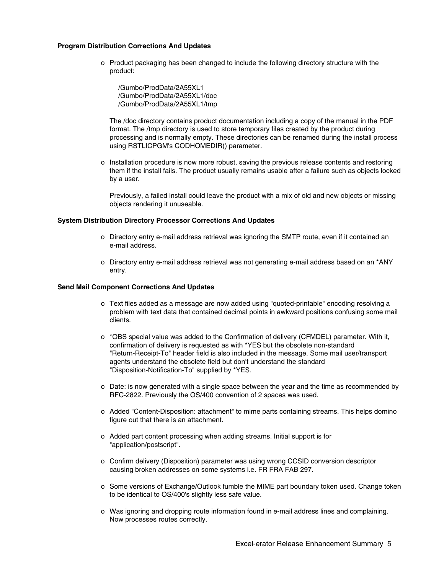#### **Program Distribution Corrections And Updates**

o Product packaging has been changed to include the following directory structure with the product:

/Gumbo/ProdData/2A55XL1 /Gumbo/ProdData/2A55XL1/doc /Gumbo/ProdData/2A55XL1/tmp

The /doc directory contains product documentation including a copy of the manual in the PDF format. The /tmp directory is used to store temporary files created by the product during processing and is normally empty. These directories can be renamed during the install process using RSTLICPGM's CODHOMEDIR() parameter.

o Installation procedure is now more robust, saving the previous release contents and restoring them if the install fails. The product usually remains usable after a failure such as objects locked by a user.

Previously, a failed install could leave the product with a mix of old and new objects or missing objects rendering it unuseable.

### **System Distribution Directory Processor Corrections And Updates**

- o Directory entry e-mail address retrieval was ignoring the SMTP route, even if it contained an e-mail address.
- o Directory entry e-mail address retrieval was not generating e-mail address based on an \*ANY entry.

#### **Send Mail Component Corrections And Updates**

- o Text files added as a message are now added using "quoted-printable" encoding resolving a problem with text data that contained decimal points in awkward positions confusing some mail clients.
- o \*OBS special value was added to the Confirmation of delivery (CFMDEL) parameter. With it, confirmation of delivery is requested as with \*YES but the obsolete non-standard "Return-Receipt-To" header field is also included in the message. Some mail user/transport agents understand the obsolete field but don't understand the standard "Disposition-Notification-To" supplied by \*YES.
- o Date: is now generated with a single space between the year and the time as recommended by RFC-2822. Previously the OS/400 convention of 2 spaces was used.
- o Added "Content-Disposition: attachment" to mime parts containing streams. This helps domino figure out that there is an attachment.
- o Added part content processing when adding streams. Initial support is for "application/postscript".
- o Confirm delivery (Disposition) parameter was using wrong CCSID conversion descriptor causing broken addresses on some systems i.e. FR FRA FAB 297.
- o Some versions of Exchange/Outlook fumble the MIME part boundary token used. Change token to be identical to OS/400's slightly less safe value.
- o Was ignoring and dropping route information found in e-mail address lines and complaining. Now processes routes correctly.